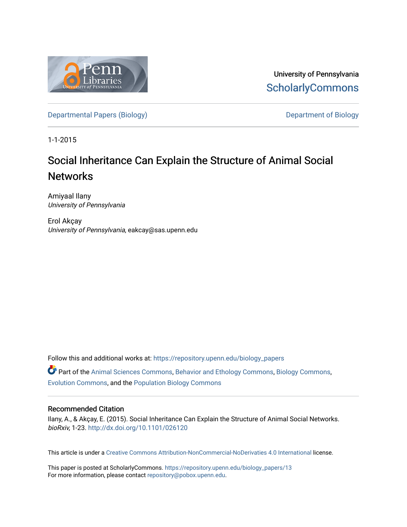

University of Pennsylvania **ScholarlyCommons** 

[Departmental Papers \(Biology\)](https://repository.upenn.edu/biology_papers) and Department of Biology

1-1-2015

## Social Inheritance Can Explain the Structure of Animal Social **Networks**

Amiyaal Ilany University of Pennsylvania

Erol Akçay University of Pennsylvania, eakcay@sas.upenn.edu

Follow this and additional works at: [https://repository.upenn.edu/biology\\_papers](https://repository.upenn.edu/biology_papers?utm_source=repository.upenn.edu%2Fbiology_papers%2F13&utm_medium=PDF&utm_campaign=PDFCoverPages) 

Part of the [Animal Sciences Commons,](http://network.bepress.com/hgg/discipline/76?utm_source=repository.upenn.edu%2Fbiology_papers%2F13&utm_medium=PDF&utm_campaign=PDFCoverPages) [Behavior and Ethology Commons](http://network.bepress.com/hgg/discipline/15?utm_source=repository.upenn.edu%2Fbiology_papers%2F13&utm_medium=PDF&utm_campaign=PDFCoverPages), [Biology Commons](http://network.bepress.com/hgg/discipline/41?utm_source=repository.upenn.edu%2Fbiology_papers%2F13&utm_medium=PDF&utm_campaign=PDFCoverPages), [Evolution Commons](http://network.bepress.com/hgg/discipline/18?utm_source=repository.upenn.edu%2Fbiology_papers%2F13&utm_medium=PDF&utm_campaign=PDFCoverPages), and the [Population Biology Commons](http://network.bepress.com/hgg/discipline/19?utm_source=repository.upenn.edu%2Fbiology_papers%2F13&utm_medium=PDF&utm_campaign=PDFCoverPages)

#### Recommended Citation

Ilany, A., & Akçay, E. (2015). Social Inheritance Can Explain the Structure of Animal Social Networks. bioRxiv, 1-23. <http://dx.doi.org/10.1101/026120>

This article is under a [Creative Commons Attribution-NonCommercial-NoDerivaties 4.0 International](https://creativecommons.org/licenses/by-nc-nd/4.0/) license.

This paper is posted at ScholarlyCommons. [https://repository.upenn.edu/biology\\_papers/13](https://repository.upenn.edu/biology_papers/13) For more information, please contact [repository@pobox.upenn.edu.](mailto:repository@pobox.upenn.edu)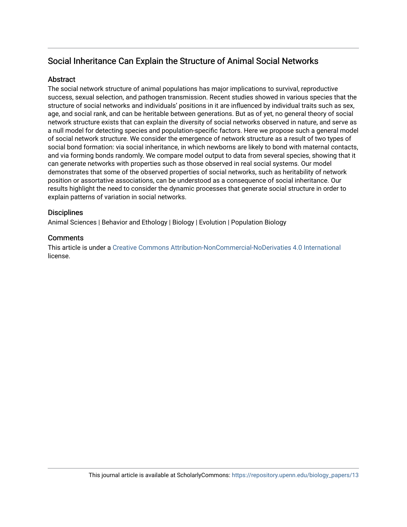## Social Inheritance Can Explain the Structure of Animal Social Networks

#### **Abstract**

The social network structure of animal populations has major implications to survival, reproductive success, sexual selection, and pathogen transmission. Recent studies showed in various species that the structure of social networks and individuals' positions in it are influenced by individual traits such as sex, age, and social rank, and can be heritable between generations. But as of yet, no general theory of social network structure exists that can explain the diversity of social networks observed in nature, and serve as a null model for detecting species and population-specific factors. Here we propose such a general model of social network structure. We consider the emergence of network structure as a result of two types of social bond formation: via social inheritance, in which newborns are likely to bond with maternal contacts, and via forming bonds randomly. We compare model output to data from several species, showing that it can generate networks with properties such as those observed in real social systems. Our model demonstrates that some of the observed properties of social networks, such as heritability of network position or assortative associations, can be understood as a consequence of social inheritance. Our results highlight the need to consider the dynamic processes that generate social structure in order to explain patterns of variation in social networks.

#### **Disciplines**

Animal Sciences | Behavior and Ethology | Biology | Evolution | Population Biology

#### **Comments**

This article is under a [Creative Commons Attribution-NonCommercial-NoDerivaties 4.0 International](https://creativecommons.org/licenses/by-nc-nd/4.0/)  license.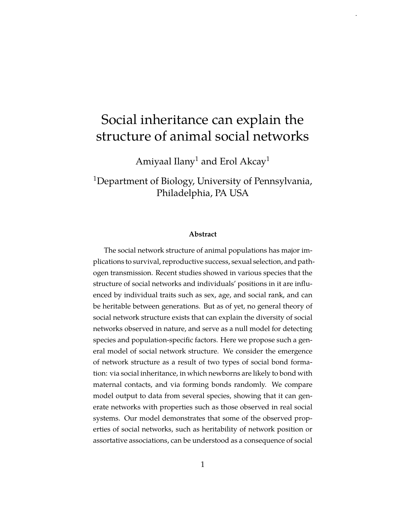# Social inheritance can explain the structure of animal social networks

[.](http://creativecommons.org/licenses/by-nc-nd/4.0/)

Amiyaal Ilany<sup>1</sup> and Erol Akcay<sup>1</sup>

<sup>1</sup>Department of Biology, University of Pennsylvania, Philadelphia, PA USA

#### **Abstract**

The social network structure of animal populations has major implications to survival, reproductive success, sexual selection, and pathogen transmission. Recent studies showed in various species that the structure of social networks and individuals' positions in it are influenced by individual traits such as sex, age, and social rank, and can be heritable between generations. But as of yet, no general theory of social network structure exists that can explain the diversity of social networks observed in nature, and serve as a null model for detecting species and population-specific factors. Here we propose such a general model of social network structure. We consider the emergence of network structure as a result of two types of social bond formation: via social inheritance, in which newborns are likely to bond with maternal contacts, and via forming bonds randomly. We compare model output to data from several species, showing that it can generate networks with properties such as those observed in real social systems. Our model demonstrates that some of the observed properties of social networks, such as heritability of network position or assortative associations, can be understood as a consequence of social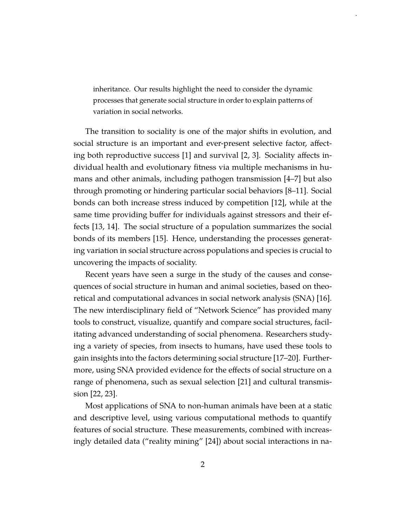inheritance. Our results highlight the need to consider the dynamic processes that generate social structure in order to explain patterns of variation in social networks.

[.](http://creativecommons.org/licenses/by-nc-nd/4.0/)

The transition to sociality is one of the major shifts in evolution, and social structure is an important and ever-present selective factor, affecting both reproductive success [1] and survival [2, 3]. Sociality affects individual health and evolutionary fitness via multiple mechanisms in humans and other animals, including pathogen transmission [4–7] but also through promoting or hindering particular social behaviors [8–11]. Social bonds can both increase stress induced by competition [12], while at the same time providing buffer for individuals against stressors and their effects [13, 14]. The social structure of a population summarizes the social bonds of its members [15]. Hence, understanding the processes generating variation in social structure across populations and species is crucial to uncovering the impacts of sociality.

Recent years have seen a surge in the study of the causes and consequences of social structure in human and animal societies, based on theoretical and computational advances in social network analysis (SNA) [16]. The new interdisciplinary field of "Network Science" has provided many tools to construct, visualize, quantify and compare social structures, facilitating advanced understanding of social phenomena. Researchers studying a variety of species, from insects to humans, have used these tools to gain insights into the factors determining social structure [17–20]. Furthermore, using SNA provided evidence for the effects of social structure on a range of phenomena, such as sexual selection [21] and cultural transmission [22, 23].

Most applications of SNA to non-human animals have been at a static and descriptive level, using various computational methods to quantify features of social structure. These measurements, combined with increasingly detailed data ("reality mining" [24]) about social interactions in na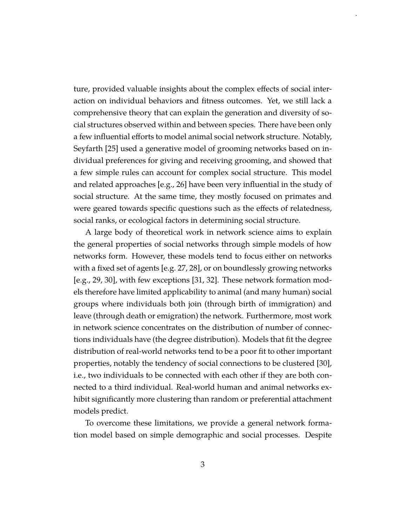ture, provided valuable insights about the complex effects of social interaction on individual behaviors and fitness outcomes. Yet, we still lack a comprehensive theory that can explain the generation and diversity of social structures observed within and between species. There have been only a few influential efforts to model animal social network structure. Notably, Seyfarth [25] used a generative model of grooming networks based on individual preferences for giving and receiving grooming, and showed that a few simple rules can account for complex social structure. This model and related approaches [e.g., 26] have been very influential in the study of social structure. At the same time, they mostly focused on primates and were geared towards specific questions such as the effects of relatedness, social ranks, or ecological factors in determining social structure.

[.](http://creativecommons.org/licenses/by-nc-nd/4.0/)

A large body of theoretical work in network science aims to explain the general properties of social networks through simple models of how networks form. However, these models tend to focus either on networks with a fixed set of agents [e.g. 27, 28], or on boundlessly growing networks [e.g., 29, 30], with few exceptions [31, 32]. These network formation models therefore have limited applicability to animal (and many human) social groups where individuals both join (through birth of immigration) and leave (through death or emigration) the network. Furthermore, most work in network science concentrates on the distribution of number of connections individuals have (the degree distribution). Models that fit the degree distribution of real-world networks tend to be a poor fit to other important properties, notably the tendency of social connections to be clustered [30], i.e., two individuals to be connected with each other if they are both connected to a third individual. Real-world human and animal networks exhibit significantly more clustering than random or preferential attachment models predict.

To overcome these limitations, we provide a general network formation model based on simple demographic and social processes. Despite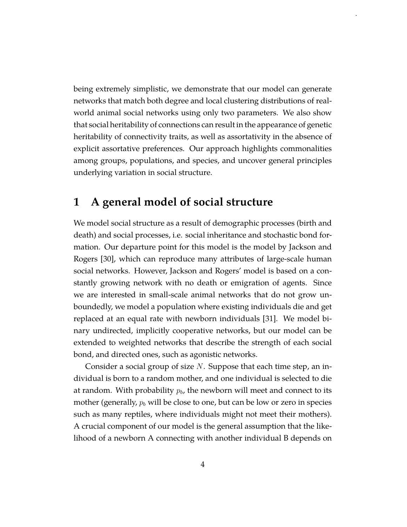being extremely simplistic, we demonstrate that our model can generate networks that match both degree and local clustering distributions of realworld animal social networks using only two parameters. We also show that social heritability of connections can result in the appearance of genetic heritability of connectivity traits, as well as assortativity in the absence of explicit assortative preferences. Our approach highlights commonalities among groups, populations, and species, and uncover general principles underlying variation in social structure.

[.](http://creativecommons.org/licenses/by-nc-nd/4.0/)

## **1 A general model of social structure**

We model social structure as a result of demographic processes (birth and death) and social processes, i.e. social inheritance and stochastic bond formation. Our departure point for this model is the model by Jackson and Rogers [30], which can reproduce many attributes of large-scale human social networks. However, Jackson and Rogers' model is based on a constantly growing network with no death or emigration of agents. Since we are interested in small-scale animal networks that do not grow unboundedly, we model a population where existing individuals die and get replaced at an equal rate with newborn individuals [31]. We model binary undirected, implicitly cooperative networks, but our model can be extended to weighted networks that describe the strength of each social bond, and directed ones, such as agonistic networks.

Consider a social group of size *N*. Suppose that each time step, an individual is born to a random mother, and one individual is selected to die at random. With probability  $p_b$ , the newborn will meet and connect to its mother (generally,  $p_b$  will be close to one, but can be low or zero in species such as many reptiles, where individuals might not meet their mothers). A crucial component of our model is the general assumption that the likelihood of a newborn A connecting with another individual B depends on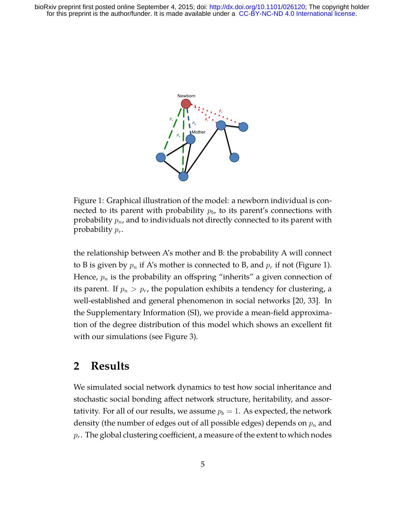

Figure 1: Graphical illustration of the model: a newborn individual is connected to its parent with probability *pb*, to its parent's connections with probability *pn*, and to individuals not directly connected to its parent with probability *pr*.

the relationship between A's mother and B: the probability A will connect to B is given by  $p_n$  if A's mother is connected to B, and  $p_r$  if not (Figure 1). Hence, *p<sup>n</sup>* is the probability an offspring "inherits" a given connection of its parent. If  $p_n > p_r$ , the population exhibits a tendency for clustering, a well-established and general phenomenon in social networks [20, 33]. In the Supplementary Information (SI), we provide a mean-field approximation of the degree distribution of this model which shows an excellent fit with our simulations (see Figure 3).

## **2 Results**

We simulated social network dynamics to test how social inheritance and stochastic social bonding affect network structure, heritability, and assortativity. For all of our results, we assume  $p_b = 1$ . As expected, the network density (the number of edges out of all possible edges) depends on *p<sup>n</sup>* and *pr*. The global clustering coefficient, a measure of the extent to which nodes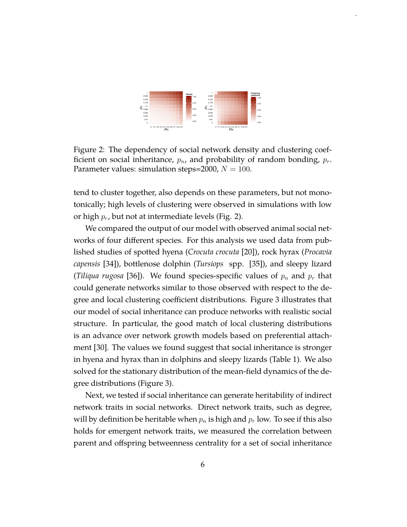

[.](http://creativecommons.org/licenses/by-nc-nd/4.0/)

Figure 2: The dependency of social network density and clustering coefficient on social inheritance, *pn*, and probability of random bonding, *pr*. Parameter values: simulation steps=2000,  $N = 100$ .

tend to cluster together, also depends on these parameters, but not monotonically; high levels of clustering were observed in simulations with low or high *pr*, but not at intermediate levels (Fig. 2).

We compared the output of our model with observed animal social networks of four different species. For this analysis we used data from published studies of spotted hyena (*Crocuta crocuta* [20]), rock hyrax (*Procavia capensis* [34]), bottlenose dolphin (*Tursiops* spp. [35]), and sleepy lizard (*Tiliqua rugosa* [36]). We found species-specific values of  $p_n$  and  $p_r$  that could generate networks similar to those observed with respect to the degree and local clustering coefficient distributions. Figure 3 illustrates that our model of social inheritance can produce networks with realistic social structure. In particular, the good match of local clustering distributions is an advance over network growth models based on preferential attachment [30]. The values we found suggest that social inheritance is stronger in hyena and hyrax than in dolphins and sleepy lizards (Table 1). We also solved for the stationary distribution of the mean-field dynamics of the degree distributions (Figure 3).

Next, we tested if social inheritance can generate heritability of indirect network traits in social networks. Direct network traits, such as degree, will by definition be heritable when  $p_n$  is high and  $p_r$  low. To see if this also holds for emergent network traits, we measured the correlation between parent and offspring betweenness centrality for a set of social inheritance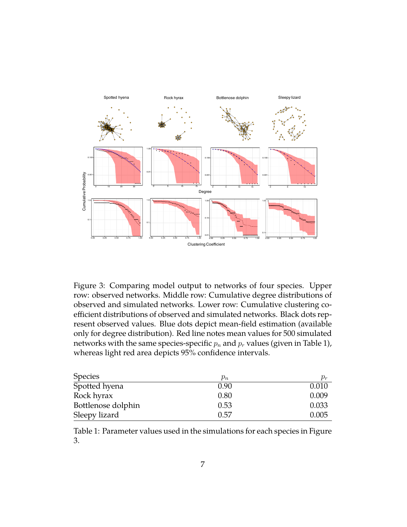

Figure 3: Comparing model output to networks of four species. Upper row: observed networks. Middle row: Cumulative degree distributions of observed and simulated networks. Lower row: Cumulative clustering coefficient distributions of observed and simulated networks. Black dots represent observed values. Blue dots depict mean-field estimation (available only for degree distribution). Red line notes mean values for 500 simulated networks with the same species-specific  $p_n$  and  $p_r$  values (given in Table 1), whereas light red area depicts 95% confidence intervals.

| <b>Species</b>     | $p_n$ | $p_r$ |
|--------------------|-------|-------|
| Spotted hyena      | 0.90  | 0.010 |
| Rock hyrax         | 0.80  | 0.009 |
| Bottlenose dolphin | 0.53  | 0.033 |
| Sleepy lizard      | 0.57  | 0.005 |

Table 1: Parameter values used in the simulations for each species in Figure 3.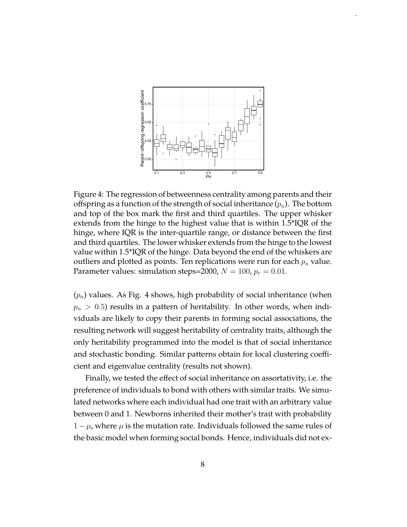

[.](http://creativecommons.org/licenses/by-nc-nd/4.0/)

Figure 4: The regression of betweenness centrality among parents and their offspring as a function of the strength of social inheritance (*pn*). The bottom and top of the box mark the first and third quartiles. The upper whisker extends from the hinge to the highest value that is within 1.5\*IQR of the hinge, where IQR is the inter-quartile range, or distance between the first and third quartiles. The lower whisker extends from the hinge to the lowest value within 1.5\*IQR of the hinge. Data beyond the end of the whiskers are outliers and plotted as points. Ten replications were run for each *p<sup>n</sup>* value. Parameter values: simulation steps=2000,  $N = 100$ ,  $p_r = 0.01$ .

(*pn*) values. As Fig. 4 shows, high probability of social inheritance (when  $p_n$   $>$  0.5) results in a pattern of heritability. In other words, when individuals are likely to copy their parents in forming social associations, the resulting network will suggest heritability of centrality traits, although the only heritability programmed into the model is that of social inheritance and stochastic bonding. Similar patterns obtain for local clustering coefficient and eigenvalue centrality (results not shown).

Finally, we tested the effect of social inheritance on assortativity, i.e. the preference of individuals to bond with others with similar traits. We simulated networks where each individual had one trait with an arbitrary value between 0 and 1. Newborns inherited their mother's trait with probability 1 *− µ*, where *µ* is the mutation rate. Individuals followed the same rules of the basic model when forming social bonds. Hence, individuals did not ex-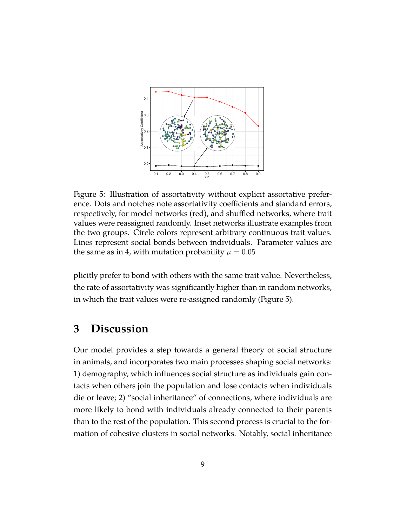

Figure 5: Illustration of assortativity without explicit assortative preference. Dots and notches note assortativity coefficients and standard errors, respectively, for model networks (red), and shuffled networks, where trait values were reassigned randomly. Inset networks illustrate examples from the two groups. Circle colors represent arbitrary continuous trait values. Lines represent social bonds between individuals. Parameter values are the same as in 4, with mutation probability  $\mu = 0.05$ 

plicitly prefer to bond with others with the same trait value. Nevertheless, the rate of assortativity was significantly higher than in random networks, in which the trait values were re-assigned randomly (Figure 5).

## **3 Discussion**

Our model provides a step towards a general theory of social structure in animals, and incorporates two main processes shaping social networks: 1) demography, which influences social structure as individuals gain contacts when others join the population and lose contacts when individuals die or leave; 2) "social inheritance" of connections, where individuals are more likely to bond with individuals already connected to their parents than to the rest of the population. This second process is crucial to the formation of cohesive clusters in social networks. Notably, social inheritance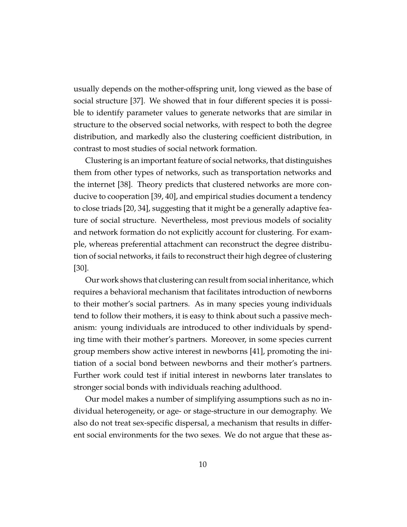usually depends on the mother-offspring unit, long viewed as the base of social structure [37]. We showed that in four different species it is possible to identify parameter values to generate networks that are similar in structure to the observed social networks, with respect to both the degree distribution, and markedly also the clustering coefficient distribution, in contrast to most studies of social network formation.

Clustering is an important feature of social networks, that distinguishes them from other types of networks, such as transportation networks and the internet [38]. Theory predicts that clustered networks are more conducive to cooperation [39, 40], and empirical studies document a tendency to close triads [20, 34], suggesting that it might be a generally adaptive feature of social structure. Nevertheless, most previous models of sociality and network formation do not explicitly account for clustering. For example, whereas preferential attachment can reconstruct the degree distribution of social networks, it fails to reconstruct their high degree of clustering [30].

Our work shows that clustering can result from social inheritance, which requires a behavioral mechanism that facilitates introduction of newborns to their mother's social partners. As in many species young individuals tend to follow their mothers, it is easy to think about such a passive mechanism: young individuals are introduced to other individuals by spending time with their mother's partners. Moreover, in some species current group members show active interest in newborns [41], promoting the initiation of a social bond between newborns and their mother's partners. Further work could test if initial interest in newborns later translates to stronger social bonds with individuals reaching adulthood.

Our model makes a number of simplifying assumptions such as no individual heterogeneity, or age- or stage-structure in our demography. We also do not treat sex-specific dispersal, a mechanism that results in different social environments for the two sexes. We do not argue that these as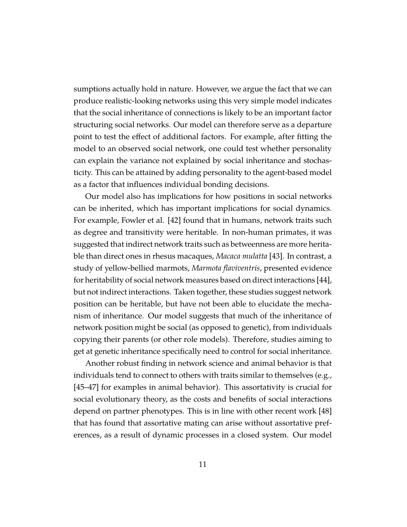sumptions actually hold in nature. However, we argue the fact that we can produce realistic-looking networks using this very simple model indicates that the social inheritance of connections is likely to be an important factor structuring social networks. Our model can therefore serve as a departure point to test the effect of additional factors. For example, after fitting the model to an observed social network, one could test whether personality can explain the variance not explained by social inheritance and stochasticity. This can be attained by adding personality to the agent-based model as a factor that influences individual bonding decisions.

Our model also has implications for how positions in social networks can be inherited, which has important implications for social dynamics. For example, Fowler et al. [42] found that in humans, network traits such as degree and transitivity were heritable. In non-human primates, it was suggested that indirect network traits such as betweenness are more heritable than direct ones in rhesus macaques, *Macaca mulatta* [43]. In contrast, a study of yellow-bellied marmots, *Marmota flaviventris*, presented evidence for heritability of social network measures based on direct interactions [44], but not indirect interactions. Taken together, these studies suggest network position can be heritable, but have not been able to elucidate the mechanism of inheritance. Our model suggests that much of the inheritance of network position might be social (as opposed to genetic), from individuals copying their parents (or other role models). Therefore, studies aiming to get at genetic inheritance specifically need to control for social inheritance.

Another robust finding in network science and animal behavior is that individuals tend to connect to others with traits similar to themselves (e.g., [45–47] for examples in animal behavior). This assortativity is crucial for social evolutionary theory, as the costs and benefits of social interactions depend on partner phenotypes. This is in line with other recent work [48] that has found that assortative mating can arise without assortative preferences, as a result of dynamic processes in a closed system. Our model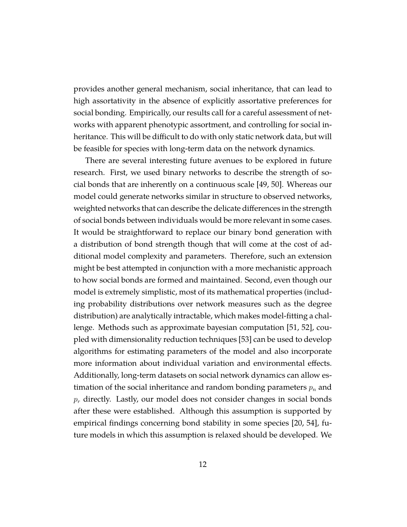provides another general mechanism, social inheritance, that can lead to high assortativity in the absence of explicitly assortative preferences for social bonding. Empirically, our results call for a careful assessment of networks with apparent phenotypic assortment, and controlling for social inheritance. This will be difficult to do with only static network data, but will be feasible for species with long-term data on the network dynamics.

There are several interesting future avenues to be explored in future research. First, we used binary networks to describe the strength of social bonds that are inherently on a continuous scale [49, 50]. Whereas our model could generate networks similar in structure to observed networks, weighted networks that can describe the delicate differences in the strength of social bonds between individuals would be more relevant in some cases. It would be straightforward to replace our binary bond generation with a distribution of bond strength though that will come at the cost of additional model complexity and parameters. Therefore, such an extension might be best attempted in conjunction with a more mechanistic approach to how social bonds are formed and maintained. Second, even though our model is extremely simplistic, most of its mathematical properties (including probability distributions over network measures such as the degree distribution) are analytically intractable, which makes model-fitting a challenge. Methods such as approximate bayesian computation [51, 52], coupled with dimensionality reduction techniques [53] can be used to develop algorithms for estimating parameters of the model and also incorporate more information about individual variation and environmental effects. Additionally, long-term datasets on social network dynamics can allow estimation of the social inheritance and random bonding parameters *p<sup>n</sup>* and *p<sup>r</sup>* directly. Lastly, our model does not consider changes in social bonds after these were established. Although this assumption is supported by empirical findings concerning bond stability in some species [20, 54], future models in which this assumption is relaxed should be developed. We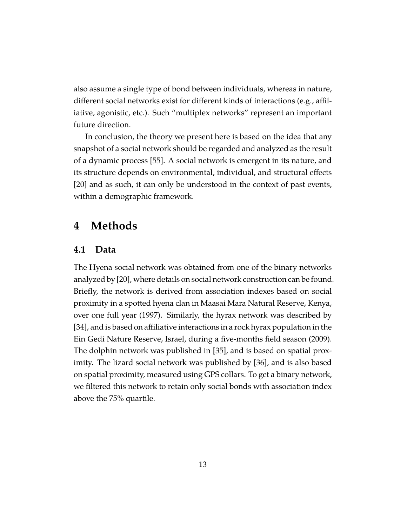also assume a single type of bond between individuals, whereas in nature, different social networks exist for different kinds of interactions (e.g., affiliative, agonistic, etc.). Such "multiplex networks" represent an important future direction.

In conclusion, the theory we present here is based on the idea that any snapshot of a social network should be regarded and analyzed as the result of a dynamic process [55]. A social network is emergent in its nature, and its structure depends on environmental, individual, and structural effects [20] and as such, it can only be understood in the context of past events, within a demographic framework.

#### **4 Methods**

#### **4.1 Data**

The Hyena social network was obtained from one of the binary networks analyzed by [20], where details on social network construction can be found. Briefly, the network is derived from association indexes based on social proximity in a spotted hyena clan in Maasai Mara Natural Reserve, Kenya, over one full year (1997). Similarly, the hyrax network was described by [34], and is based on affiliative interactions in a rock hyrax population in the Ein Gedi Nature Reserve, Israel, during a five-months field season (2009). The dolphin network was published in [35], and is based on spatial proximity. The lizard social network was published by [36], and is also based on spatial proximity, measured using GPS collars. To get a binary network, we filtered this network to retain only social bonds with association index above the 75% quartile.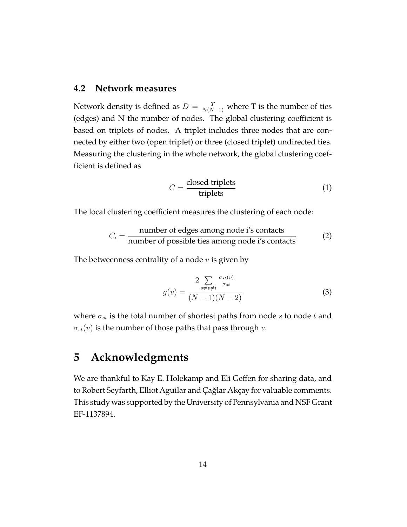#### **4.2 Network measures**

Network density is defined as  $D = \frac{T}{N(N-1)}$  where T is the number of ties (edges) and N the number of nodes. The global clustering coefficient is based on triplets of nodes. A triplet includes three nodes that are connected by either two (open triplet) or three (closed triplet) undirected ties. Measuring the clustering in the whole network, the global clustering coefficient is defined as

$$
C = \frac{\text{closed triplets}}{\text{triplets}} \tag{1}
$$

The local clustering coefficient measures the clustering of each node:

$$
C_i = \frac{\text{number of edges among node i's contacts}}{\text{number of possible ties among node i's contacts}} \tag{2}
$$

The betweenness centrality of a node *v* is given by

$$
g(v) = \frac{2 \sum_{s \neq v \neq t} \frac{\sigma_{st}(v)}{\sigma_{st}}}{(N-1)(N-2)}
$$
(3)

where  $\sigma_{st}$  is the total number of shortest paths from node *s* to node *t* and  $\sigma_{st}(v)$  is the number of those paths that pass through *v*.

## **5 Acknowledgments**

We are thankful to Kay E. Holekamp and Eli Geffen for sharing data, and to Robert Seyfarth, Elliot Aguilar and Çağlar Akçay for valuable comments. This study was supported by the University of Pennsylvania and NSF Grant EF-1137894.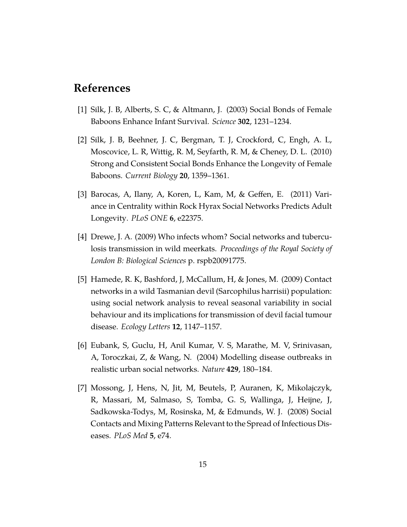## **References**

- [1] Silk, J. B, Alberts, S. C, & Altmann, J. (2003) Social Bonds of Female Baboons Enhance Infant Survival. *Science* **302**, 1231–1234.
- [2] Silk, J. B, Beehner, J. C, Bergman, T. J, Crockford, C, Engh, A. L, Moscovice, L. R, Wittig, R. M, Seyfarth, R. M, & Cheney, D. L. (2010) Strong and Consistent Social Bonds Enhance the Longevity of Female Baboons. *Current Biology* **20**, 1359–1361.
- [3] Barocas, A, Ilany, A, Koren, L, Kam, M, & Geffen, E. (2011) Variance in Centrality within Rock Hyrax Social Networks Predicts Adult Longevity. *PLoS ONE* **6**, e22375.
- [4] Drewe, J. A. (2009) Who infects whom? Social networks and tuberculosis transmission in wild meerkats. *Proceedings of the Royal Society of London B: Biological Sciences* p. rspb20091775.
- [5] Hamede, R. K, Bashford, J, McCallum, H, & Jones, M. (2009) Contact networks in a wild Tasmanian devil (Sarcophilus harrisii) population: using social network analysis to reveal seasonal variability in social behaviour and its implications for transmission of devil facial tumour disease. *Ecology Letters* **12**, 1147–1157.
- [6] Eubank, S, Guclu, H, Anil Kumar, V. S, Marathe, M. V, Srinivasan, A, Toroczkai, Z, & Wang, N. (2004) Modelling disease outbreaks in realistic urban social networks. *Nature* **429**, 180–184.
- [7] Mossong, J, Hens, N, Jit, M, Beutels, P, Auranen, K, Mikolajczyk, R, Massari, M, Salmaso, S, Tomba, G. S, Wallinga, J, Heijne, J, Sadkowska-Todys, M, Rosinska, M, & Edmunds, W. J. (2008) Social Contacts and Mixing Patterns Relevant to the Spread of Infectious Diseases. *PLoS Med* **5**, e74.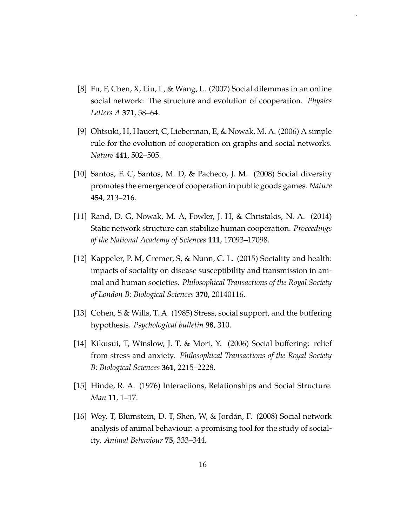[8] Fu, F, Chen, X, Liu, L, & Wang, L. (2007) Social dilemmas in an online social network: The structure and evolution of cooperation. *Physics Letters A* **371**, 58–64.

[.](http://creativecommons.org/licenses/by-nc-nd/4.0/)

- [9] Ohtsuki, H, Hauert, C, Lieberman, E, & Nowak, M. A. (2006) A simple rule for the evolution of cooperation on graphs and social networks. *Nature* **441**, 502–505.
- [10] Santos, F. C, Santos, M. D, & Pacheco, J. M. (2008) Social diversity promotes the emergence of cooperation in public goods games. *Nature* **454**, 213–216.
- [11] Rand, D. G, Nowak, M. A, Fowler, J. H, & Christakis, N. A. (2014) Static network structure can stabilize human cooperation. *Proceedings of the National Academy of Sciences* **111**, 17093–17098.
- [12] Kappeler, P. M, Cremer, S, & Nunn, C. L. (2015) Sociality and health: impacts of sociality on disease susceptibility and transmission in animal and human societies. *Philosophical Transactions of the Royal Society of London B: Biological Sciences* **370**, 20140116.
- [13] Cohen, S & Wills, T. A. (1985) Stress, social support, and the buffering hypothesis. *Psychological bulletin* **98**, 310.
- [14] Kikusui, T, Winslow, J. T, & Mori, Y. (2006) Social buffering: relief from stress and anxiety. *Philosophical Transactions of the Royal Society B: Biological Sciences* **361**, 2215–2228.
- [15] Hinde, R. A. (1976) Interactions, Relationships and Social Structure. *Man* **11**, 1–17.
- [16] Wey, T, Blumstein, D. T, Shen, W, & Jordán, F. (2008) Social network analysis of animal behaviour: a promising tool for the study of sociality. *Animal Behaviour* **75**, 333–344.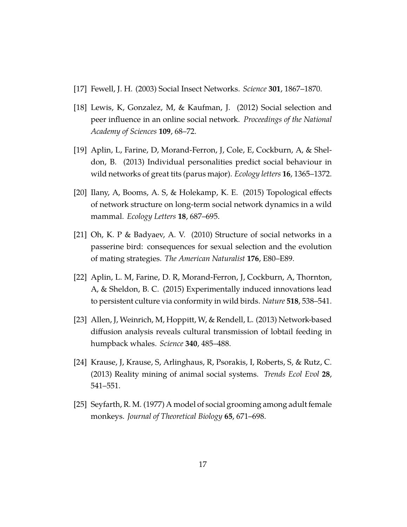- [17] Fewell, J. H. (2003) Social Insect Networks. *Science* **301**, 1867–1870.
- [18] Lewis, K, Gonzalez, M, & Kaufman, J. (2012) Social selection and peer influence in an online social network. *Proceedings of the National Academy of Sciences* **109**, 68–72.
- [19] Aplin, L, Farine, D, Morand-Ferron, J, Cole, E, Cockburn, A, & Sheldon, B. (2013) Individual personalities predict social behaviour in wild networks of great tits (parus major). *Ecology letters* **16**, 1365–1372.
- [20] Ilany, A, Booms, A. S, & Holekamp, K. E. (2015) Topological effects of network structure on long-term social network dynamics in a wild mammal. *Ecology Letters* **18**, 687–695.
- [21] Oh, K. P & Badyaev, A. V. (2010) Structure of social networks in a passerine bird: consequences for sexual selection and the evolution of mating strategies. *The American Naturalist* **176**, E80–E89.
- [22] Aplin, L. M, Farine, D. R, Morand-Ferron, J, Cockburn, A, Thornton, A, & Sheldon, B. C. (2015) Experimentally induced innovations lead to persistent culture via conformity in wild birds. *Nature* **518**, 538–541.
- [23] Allen, J, Weinrich, M, Hoppitt, W, & Rendell, L. (2013) Network-based diffusion analysis reveals cultural transmission of lobtail feeding in humpback whales. *Science* **340**, 485–488.
- [24] Krause, J, Krause, S, Arlinghaus, R, Psorakis, I, Roberts, S, & Rutz, C. (2013) Reality mining of animal social systems. *Trends Ecol Evol* **28**, 541–551.
- [25] Seyfarth, R. M. (1977) A model of social grooming among adult female monkeys. *Journal of Theoretical Biology* **65**, 671–698.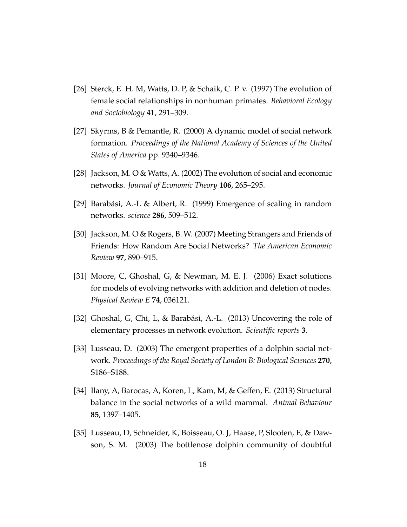- [26] Sterck, E. H. M, Watts, D. P, & Schaik, C. P. v. (1997) The evolution of female social relationships in nonhuman primates. *Behavioral Ecology and Sociobiology* **41**, 291–309.
- [27] Skyrms, B & Pemantle, R. (2000) A dynamic model of social network formation. *Proceedings of the National Academy of Sciences of the United States of America* pp. 9340–9346.
- [28] Jackson, M. O & Watts, A. (2002) The evolution of social and economic networks. *Journal of Economic Theory* **106**, 265–295.
- [29] Barabási, A.-L & Albert, R. (1999) Emergence of scaling in random networks. *science* **286**, 509–512.
- [30] Jackson, M. O & Rogers, B. W. (2007) Meeting Strangers and Friends of Friends: How Random Are Social Networks? *The American Economic Review* **97**, 890–915.
- [31] Moore, C, Ghoshal, G, & Newman, M. E. J. (2006) Exact solutions for models of evolving networks with addition and deletion of nodes. *Physical Review E* **74**, 036121.
- [32] Ghoshal, G, Chi, L, & Barabási, A.-L. (2013) Uncovering the role of elementary processes in network evolution. *Scientific reports* **3**.
- [33] Lusseau, D. (2003) The emergent properties of a dolphin social network. *Proceedings of the Royal Society of London B: Biological Sciences* **270**, S186–S188.
- [34] Ilany, A, Barocas, A, Koren, L, Kam, M, & Geffen, E. (2013) Structural balance in the social networks of a wild mammal. *Animal Behaviour* **85**, 1397–1405.
- [35] Lusseau, D, Schneider, K, Boisseau, O. J, Haase, P, Slooten, E, & Dawson, S. M. (2003) The bottlenose dolphin community of doubtful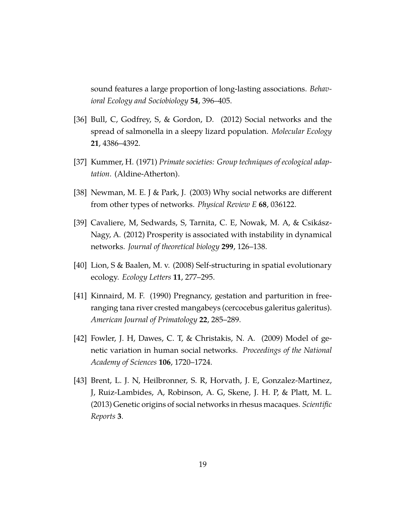sound features a large proportion of long-lasting associations. *Behavioral Ecology and Sociobiology* **54**, 396–405.

- [36] Bull, C, Godfrey, S, & Gordon, D. (2012) Social networks and the spread of salmonella in a sleepy lizard population. *Molecular Ecology* **21**, 4386–4392.
- [37] Kummer, H. (1971) *Primate societies: Group techniques of ecological adaptation*. (Aldine-Atherton).
- [38] Newman, M. E. J & Park, J. (2003) Why social networks are different from other types of networks. *Physical Review E* **68**, 036122.
- [39] Cavaliere, M, Sedwards, S, Tarnita, C. E, Nowak, M. A, & Csikász-Nagy, A. (2012) Prosperity is associated with instability in dynamical networks. *Journal of theoretical biology* **299**, 126–138.
- [40] Lion, S & Baalen, M. v. (2008) Self-structuring in spatial evolutionary ecology. *Ecology Letters* **11**, 277–295.
- [41] Kinnaird, M. F. (1990) Pregnancy, gestation and parturition in freeranging tana river crested mangabeys (cercocebus galeritus galeritus). *American Journal of Primatology* **22**, 285–289.
- [42] Fowler, J. H, Dawes, C. T, & Christakis, N. A. (2009) Model of genetic variation in human social networks. *Proceedings of the National Academy of Sciences* **106**, 1720–1724.
- [43] Brent, L. J. N, Heilbronner, S. R, Horvath, J. E, Gonzalez-Martinez, J, Ruiz-Lambides, A, Robinson, A. G, Skene, J. H. P, & Platt, M. L. (2013) Genetic origins of social networks in rhesus macaques. *Scientific Reports* **3**.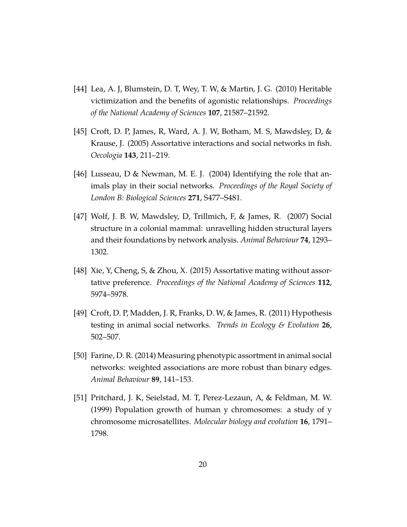- [44] Lea, A. J, Blumstein, D. T, Wey, T. W, & Martin, J. G. (2010) Heritable victimization and the benefits of agonistic relationships. *Proceedings of the National Academy of Sciences* **107**, 21587–21592.
- [45] Croft, D. P, James, R, Ward, A. J. W, Botham, M. S, Mawdsley, D, & Krause, J. (2005) Assortative interactions and social networks in fish. *Oecologia* **143**, 211–219.
- [46] Lusseau, D & Newman, M. E. J. (2004) Identifying the role that animals play in their social networks. *Proceedings of the Royal Society of London B: Biological Sciences* **271**, S477–S481.
- [47] Wolf, J. B. W, Mawdsley, D, Trillmich, F, & James, R. (2007) Social structure in a colonial mammal: unravelling hidden structural layers and their foundations by network analysis. *Animal Behaviour* **74**, 1293– 1302.
- [48] Xie, Y, Cheng, S, & Zhou, X. (2015) Assortative mating without assortative preference. *Proceedings of the National Academy of Sciences* **112**, 5974–5978.
- [49] Croft, D. P, Madden, J. R, Franks, D. W, & James, R. (2011) Hypothesis testing in animal social networks. *Trends in Ecology & Evolution* **26**, 502–507.
- [50] Farine, D. R. (2014) Measuring phenotypic assortment in animal social networks: weighted associations are more robust than binary edges. *Animal Behaviour* **89**, 141–153.
- [51] Pritchard, J. K, Seielstad, M. T, Perez-Lezaun, A, & Feldman, M. W. (1999) Population growth of human y chromosomes: a study of y chromosome microsatellites. *Molecular biology and evolution* **16**, 1791– 1798.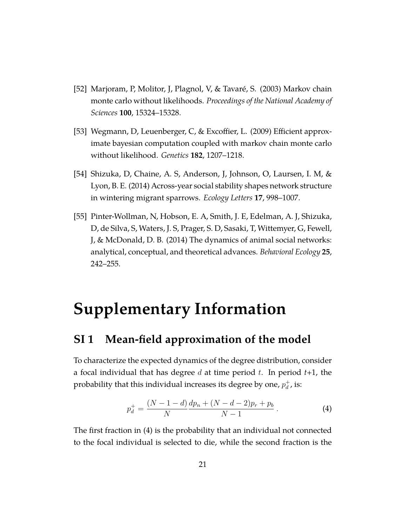- [52] Marjoram, P, Molitor, J, Plagnol, V, & Tavaré, S. (2003) Markov chain monte carlo without likelihoods. *Proceedings of the National Academy of Sciences* **100**, 15324–15328.
- [53] Wegmann, D, Leuenberger, C, & Excoffier, L. (2009) Efficient approximate bayesian computation coupled with markov chain monte carlo without likelihood. *Genetics* **182**, 1207–1218.
- [54] Shizuka, D, Chaine, A. S, Anderson, J, Johnson, O, Laursen, I. M, & Lyon, B. E. (2014) Across-year social stability shapes network structure in wintering migrant sparrows. *Ecology Letters* **17**, 998–1007.
- [55] Pinter-Wollman, N, Hobson, E. A, Smith, J. E, Edelman, A. J, Shizuka, D, de Silva, S, Waters, J. S, Prager, S. D, Sasaki, T, Wittemyer, G, Fewell, J, & McDonald, D. B. (2014) The dynamics of animal social networks: analytical, conceptual, and theoretical advances. *Behavioral Ecology* **25**, 242–255.

# **Supplementary Information**

## **SI 1 Mean-field approximation of the model**

To characterize the expected dynamics of the degree distribution, consider a focal individual that has degree *d* at time period *t*. In period *t*+1, the probability that this individual increases its degree by one,  $p_d^+$  $_d^+$ , is:

$$
p_d^+ = \frac{(N-1-d)}{N} \frac{dp_n + (N-d-2)p_r + p_b}{N-1} \,. \tag{4}
$$

The first fraction in (4) is the probability that an individual not connected to the focal individual is selected to die, while the second fraction is the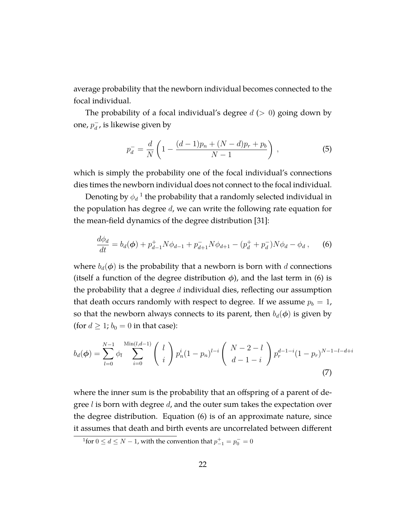average probability that the newborn individual becomes connected to the focal individual.

The probability of a focal individual's degree *d* (*>* 0) going down by one*,*  $p_d^-$ *,* is likewise given by

$$
p_d^- = \frac{d}{N} \left( 1 - \frac{(d-1)p_n + (N-d)p_r + p_b}{N-1} \right) ,\qquad (5)
$$

which is simply the probability one of the focal individual's connections dies times the newborn individual does not connect to the focal individual.

Denoting by  $\phi_d$   $^1$  the probability that a randomly selected individual in the population has degree *d*, we can write the following rate equation for the mean-field dynamics of the degree distribution [31]:

$$
\frac{d\phi_d}{dt} = b_d(\phi) + p_{d-1}^+ N \phi_{d-1} + p_{d+1}^- N \phi_{d+1} - (p_d^+ + p_d^-) N \phi_d - \phi_d ,\qquad (6)
$$

where  $b_d(\phi)$  is the probability that a newborn is born with *d* connections (itself a function of the degree distribution  $\phi$ ), and the last term in (6) is the probability that a degree *d* individual dies, reflecting our assumption that death occurs randomly with respect to degree. If we assume  $p_b = 1$ , so that the newborn always connects to its parent, then  $b_d(\phi)$  is given by (for  $d \geq 1$ ;  $b_0 = 0$  in that case):

$$
b_d(\phi) = \sum_{l=0}^{N-1} \phi_l \sum_{i=0}^{\text{Min}(l,d-1)} \binom{l}{i} p_n^i (1-p_n)^{l-i} \binom{N-2-l}{d-1-i} p_r^{d-1-i} (1-p_r)^{N-1-l-d+i}
$$
\n(7)

where the inner sum is the probability that an offspring of a parent of degree *l* is born with degree *d*, and the outer sum takes the expectation over the degree distribution. Equation (6) is of an approximate nature, since it assumes that death and birth events are uncorrelated between different

<sup>&</sup>lt;sup>1</sup>for  $0 \le d \le N - 1$ , with the convention that  $p_{-1}^+ = p_0^- = 0$